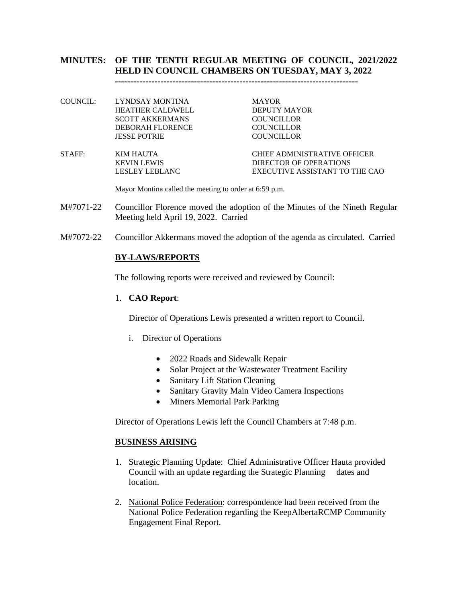# **MINUTES: OF THE TENTH REGULAR MEETING OF COUNCIL, 2021/2022 HELD IN COUNCIL CHAMBERS ON TUESDAY, MAY 3, 2022**

**--------------------------------------------------------------------------------**

COUNCIL: LYNDSAY MONTINA MAYOR HEATHER CALDWELL DEPUTY MAYOR SCOTT AKKERMANS COUNCILLOR DEBORAH FLORENCE COUNCILLOR JESSE POTRIE COUNCILLOR

STAFF: KIM HAUTA CHIEF ADMINISTRATIVE OFFICER

KEVIN LEWIS DIRECTOR OF OPERATIONS LESLEY LEBLANC EXECUTIVE ASSISTANT TO THE CAO

Mayor Montina called the meeting to order at 6:59 p.m.

- M#7071-22 Councillor Florence moved the adoption of the Minutes of the Nineth Regular Meeting held April 19, 2022. Carried
- M#7072-22 Councillor Akkermans moved the adoption of the agenda as circulated. Carried

### **BY-LAWS/REPORTS**

The following reports were received and reviewed by Council:

#### 1. **CAO Report**:

Director of Operations Lewis presented a written report to Council.

- i. Director of Operations
	- 2022 Roads and Sidewalk Repair
	- Solar Project at the Wastewater Treatment Facility
	- Sanitary Lift Station Cleaning
	- Sanitary Gravity Main Video Camera Inspections
	- Miners Memorial Park Parking

Director of Operations Lewis left the Council Chambers at 7:48 p.m.

#### **BUSINESS ARISING**

- 1. Strategic Planning Update: Chief Administrative Officer Hauta provided Council with an update regarding the Strategic Planning dates and location.
- 2. National Police Federation: correspondence had been received from the National Police Federation regarding the KeepAlbertaRCMP Community Engagement Final Report.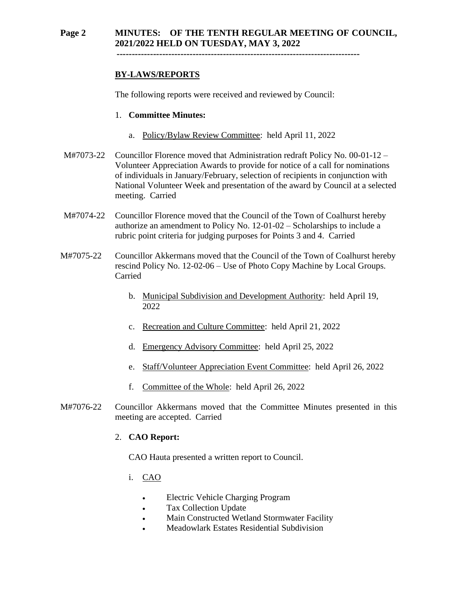# **Page 2 MINUTES: OF THE TENTH REGULAR MEETING OF COUNCIL, 2021/2022 HELD ON TUESDAY, MAY 3, 2022**

 **--------------------------------------------------------------------------------**

# **BY-LAWS/REPORTS**

The following reports were received and reviewed by Council:

#### 1. **Committee Minutes:**

- a. Policy/Bylaw Review Committee: held April 11, 2022
- M#7073-22 Councillor Florence moved that Administration redraft Policy No. 00-01-12 Volunteer Appreciation Awards to provide for notice of a call for nominations of individuals in January/February, selection of recipients in conjunction with National Volunteer Week and presentation of the award by Council at a selected meeting. Carried
- M#7074-22 Councillor Florence moved that the Council of the Town of Coalhurst hereby authorize an amendment to Policy No. 12-01-02 – Scholarships to include a rubric point criteria for judging purposes for Points 3 and 4. Carried
- M#7075-22 Councillor Akkermans moved that the Council of the Town of Coalhurst hereby rescind Policy No. 12-02-06 – Use of Photo Copy Machine by Local Groups. Carried
	- b. Municipal Subdivision and Development Authority: held April 19, 2022
	- c. Recreation and Culture Committee: held April 21, 2022
	- d. Emergency Advisory Committee: held April 25, 2022
	- e. Staff/Volunteer Appreciation Event Committee: held April 26, 2022
	- f. Committee of the Whole: held April 26, 2022
- M#7076-22 Councillor Akkermans moved that the Committee Minutes presented in this meeting are accepted. Carried

### 2. **CAO Report:**

CAO Hauta presented a written report to Council.

- i. CAO
	- Electric Vehicle Charging Program
	- Tax Collection Update
	- Main Constructed Wetland Stormwater Facility
	- Meadowlark Estates Residential Subdivision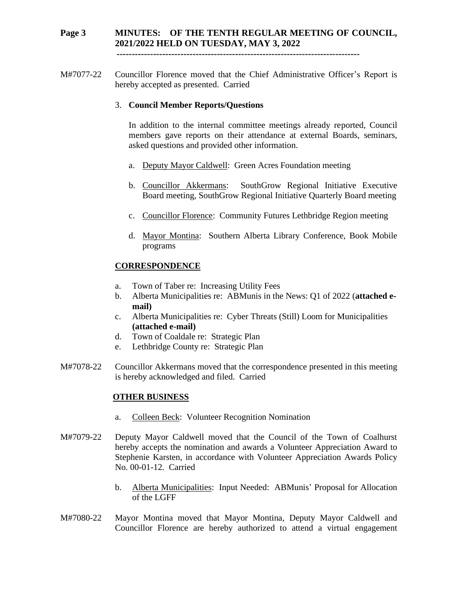# **Page 3 MINUTES: OF THE TENTH REGULAR MEETING OF COUNCIL, 2021/2022 HELD ON TUESDAY, MAY 3, 2022**

 **--------------------------------------------------------------------------------**

M#7077-22 Councillor Florence moved that the Chief Administrative Officer's Report is hereby accepted as presented. Carried

### 3. **Council Member Reports/Questions**

In addition to the internal committee meetings already reported, Council members gave reports on their attendance at external Boards, seminars, asked questions and provided other information.

- a. Deputy Mayor Caldwell: Green Acres Foundation meeting
- b. Councillor Akkermans: SouthGrow Regional Initiative Executive Board meeting, SouthGrow Regional Initiative Quarterly Board meeting
- c. Councillor Florence: Community Futures Lethbridge Region meeting
- d. Mayor Montina: Southern Alberta Library Conference, Book Mobile programs

### **CORRESPONDENCE**

- a. Town of Taber re: Increasing Utility Fees
- b. Alberta Municipalities re: ABMunis in the News: Q1 of 2022 (**attached email)**
- c. Alberta Municipalities re: Cyber Threats (Still) Loom for Municipalities **(attached e-mail)**
- d. Town of Coaldale re: Strategic Plan
- e. Lethbridge County re: Strategic Plan
- M#7078-22 Councillor Akkermans moved that the correspondence presented in this meeting is hereby acknowledged and filed. Carried

#### **OTHER BUSINESS**

- a. Colleen Beck: Volunteer Recognition Nomination
- M#7079-22 Deputy Mayor Caldwell moved that the Council of the Town of Coalhurst hereby accepts the nomination and awards a Volunteer Appreciation Award to Stephenie Karsten, in accordance with Volunteer Appreciation Awards Policy No. 00-01-12. Carried
	- b. Alberta Municipalities: Input Needed: ABMunis' Proposal for Allocation of the LGFF
- M#7080-22 Mayor Montina moved that Mayor Montina, Deputy Mayor Caldwell and Councillor Florence are hereby authorized to attend a virtual engagement